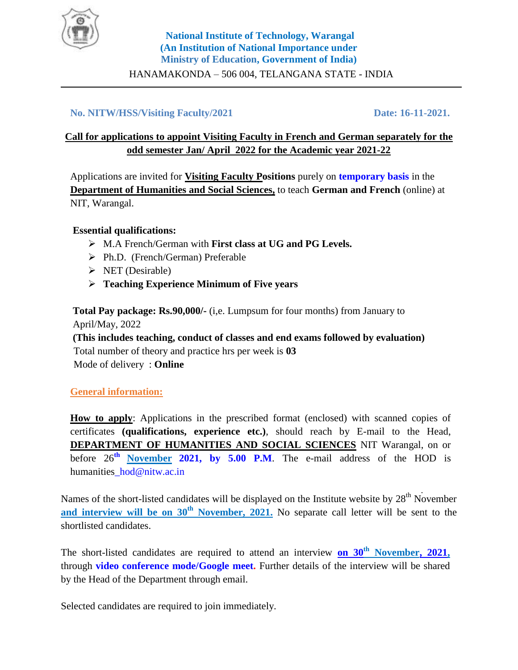

HANAMAKONDA – 506 004, TELANGANA STATE - INDIA

### **No. NITW/HSS/Visiting Faculty/2021 Date: 16-11-2021.**

## **Call for applications to appoint Visiting Faculty in French and German separately for the odd semester Jan/ April 2022 for the Academic year 2021-22**

Applications are invited for **Visiting Faculty Positions** purely on **temporary basis** in the **Department of Humanities and Social Sciences,** to teach **German and French** (online) at NIT, Warangal.

#### **Essential qualifications:**

- M.A French/German with **First class at UG and PG Levels.**
- Ph.D. (French/German) Preferable
- $\triangleright$  NET (Desirable)
- **Teaching Experience Minimum of Five years**

**Total Pay package: Rs.90,000/-** (i,e. Lumpsum for four months) from January to April/May, 2022

**(This includes teaching, conduct of classes and end exams followed by evaluation)** Total number of theory and practice hrs per week is **03** Mode of delivery : **Online**

#### **General information:**

How to apply: Applications in the prescribed format (enclosed) with scanned copies of certificates **(qualifications, experience etc.)**, should reach by E-mail to the Head, **DEPARTMENT OF HUMANITIES AND SOCIAL SCIENCES** NIT Warangal, on or before 26 **th November 2021, by 5.00 P.M**. The e-mail address of the HOD is humanities\_hod@nitw.ac.in

Names of the short-listed candidates will be displayed on the Institute website by  $28<sup>th</sup>$  November **and interview will be on 30th November, 2021.** No separate call letter will be sent to the shortlisted candidates.

The short-listed candidates are required to attend an interview **on 30th November, 2021,**  through **video conference mode/Google meet.** Further details of the interview will be shared by the Head of the Department through email.

Selected candidates are required to join immediately.